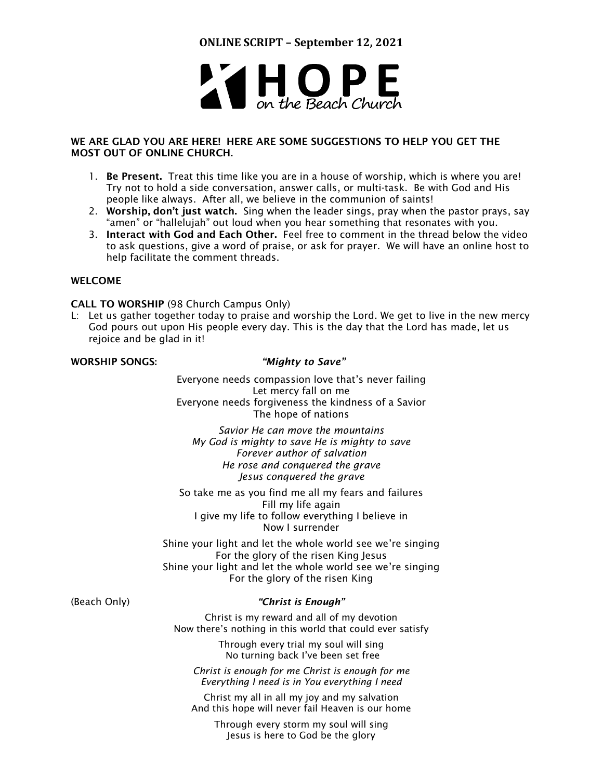

## WE ARE GLAD YOU ARE HERE! HERE ARE SOME SUGGESTIONS TO HELP YOU GET THE MOST OUT OF ONLINE CHURCH.

- 1. Be Present. Treat this time like you are in a house of worship, which is where you are! Try not to hold a side conversation, answer calls, or multi-task. Be with God and His people like always. After all, we believe in the communion of saints!
- 2. Worship, don't just watch. Sing when the leader sings, pray when the pastor prays, say "amen" or "hallelujah" out loud when you hear something that resonates with you.
- 3. Interact with God and Each Other. Feel free to comment in the thread below the video to ask questions, give a word of praise, or ask for prayer. We will have an online host to help facilitate the comment threads.

## WELCOME

## CALL TO WORSHIP (98 Church Campus Only)

L: Let us gather together today to praise and worship the Lord. We get to live in the new mercy God pours out upon His people every day. This is the day that the Lord has made, let us rejoice and be glad in it!

## WORSHIP SONGS: *"Mighty to Save"*

Everyone needs compassion love that's never failing Let mercy fall on me Everyone needs forgiveness the kindness of a Savior The hope of nations

*Savior He can move the mountains My God is mighty to save He is mighty to save Forever author of salvation He rose and conquered the grave Jesus conquered the grave*

So take me as you find me all my fears and failures Fill my life again I give my life to follow everything I believe in Now I surrender

Shine your light and let the whole world see we're singing For the glory of the risen King Jesus Shine your light and let the whole world see we're singing For the glory of the risen King

## (Beach Only) *"Christ is Enough"*

Christ is my reward and all of my devotion Now there's nothing in this world that could ever satisfy

> Through every trial my soul will sing No turning back I've been set free

*Christ is enough for me Christ is enough for me Everything I need is in You everything I need*

Christ my all in all my joy and my salvation And this hope will never fail Heaven is our home

> Through every storm my soul will sing Jesus is here to God be the glory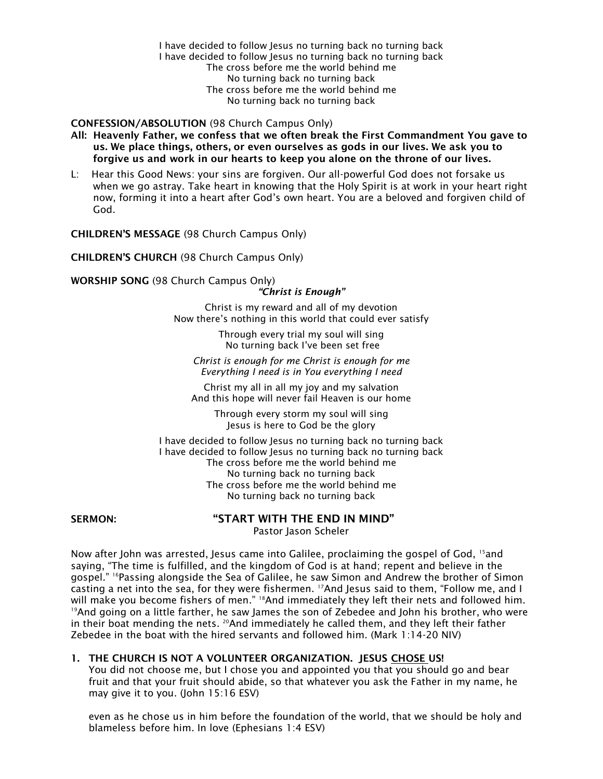I have decided to follow Jesus no turning back no turning back I have decided to follow Jesus no turning back no turning back The cross before me the world behind me No turning back no turning back The cross before me the world behind me No turning back no turning back

## CONFESSION/ABSOLUTION (98 Church Campus Only)

- All: Heavenly Father, we confess that we often break the First Commandment You gave to us. We place things, others, or even ourselves as gods in our lives. We ask you to forgive us and work in our hearts to keep you alone on the throne of our lives.
- L: Hear this Good News: your sins are forgiven. Our all-powerful God does not forsake us when we go astray. Take heart in knowing that the Holy Spirit is at work in your heart right now, forming it into a heart after God's own heart. You are a beloved and forgiven child of God.

CHILDREN'S MESSAGE (98 Church Campus Only)

CHILDREN'S CHURCH (98 Church Campus Only)

WORSHIP SONG (98 Church Campus Only)

*"Christ is Enough"*

Christ is my reward and all of my devotion Now there's nothing in this world that could ever satisfy

> Through every trial my soul will sing No turning back I've been set free

*Christ is enough for me Christ is enough for me Everything I need is in You everything I need*

Christ my all in all my joy and my salvation And this hope will never fail Heaven is our home

> Through every storm my soul will sing Jesus is here to God be the glory

I have decided to follow Jesus no turning back no turning back I have decided to follow Jesus no turning back no turning back The cross before me the world behind me No turning back no turning back The cross before me the world behind me No turning back no turning back

## SERMON: "START WITH THE END IN MIND" Pastor Jason Scheler

Now after John was arrested, Jesus came into Galilee, proclaiming the gospel of God, <sup>[15](http://biblehub.com/mark/1-15.htm)</sup>and saying, "The time is fulfilled, and the kingdom of God is at hand; repent and believe in the gospel." <sup>[16](http://biblehub.com/mark/1-16.htm)</sup>Passing alongside the Sea of Galilee, he saw Simon and Andrew the brother of Simon casting a net into the sea, for they were fishermen. [17](http://biblehub.com/mark/1-17.htm)And Jesus said to them, "Follow me, and I will make you become fishers of men." <sup>[18](http://biblehub.com/mark/1-18.htm)</sup>And immediately they left their nets and followed him.  $19$ And going on a little farther, he saw James the son of Zebedee and John his brother, who were in their boat mending the nets. <sup>[20](http://biblehub.com/mark/1-20.htm)</sup>And immediately he called them, and they left their father Zebedee in the boat with the hired servants and followed him. (Mark 1:14-20 NIV)

## 1. THE CHURCH IS NOT A VOLUNTEER ORGANIZATION. JESUS CHOSE US!

You did not choose me, but I chose you and appointed you that you should go and bear fruit and that your fruit should abide, so that whatever you ask the Father in my name, he may give it to you. (John 15:16 ESV)

even as he chose us in him before the foundation of the world, that we should be holy and blameless before him. In love (Ephesians 1:4 ESV)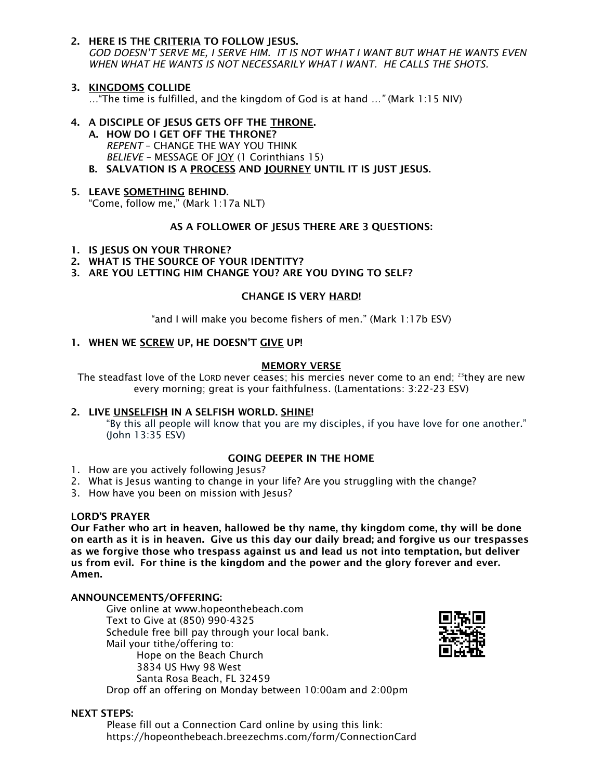## 2. HERE IS THE CRITERIA TO FOLLOW JESUS.

*GOD DOESN'T SERVE ME, I SERVE HIM. IT IS NOT WHAT I WANT BUT WHAT HE WANTS EVEN WHEN WHAT HE WANTS IS NOT NECESSARILY WHAT I WANT. HE CALLS THE SHOTS.*

## 3. KINGDOMS COLLIDE

*…*"The time is fulfilled, and the kingdom of God is at hand *…"* (Mark 1:15 NIV)

## 4. A DISCIPLE OF JESUS GETS OFF THE THRONE.

- A. HOW DO I GET OFF THE THRONE? *REPENT* – CHANGE THE WAY YOU THINK *BELIEVE* – MESSAGE OF JOY (1 Corinthians 15)
- B. SALVATION IS A PROCESS AND JOURNEY UNTIL IT IS JUST JESUS.
- 5. LEAVE SOMETHING BEHIND. "Come, follow me," (Mark 1:17a NLT)

## AS A FOLLOWER OF JESUS THERE ARE 3 QUESTIONS:

- 1. IS JESUS ON YOUR THRONE?
- 2. WHAT IS THE SOURCE OF YOUR IDENTITY?
- 3. ARE YOU LETTING HIM CHANGE YOU? ARE YOU DYING TO SELF?

## CHANGE IS VERY HARD!

"and I will make you become fishers of men." (Mark 1:17b ESV)

## 1. WHEN WE SCREW UP, HE DOESN'T GIVE UP!

## MEMORY VERSE

The steadfast love of the LORD never ceases; his mercies never come to an end;  $23$ they are new every morning; great is your faithfulness. (Lamentations: 3:22-23 ESV)

## 2. LIVE UNSELFISH IN A SELFISH WORLD. SHINE!

"By this all people will know that you are my disciples, if you have love for one another." (John 13:35 ESV)

## GOING DEEPER IN THE HOME

- 1. How are you actively following Jesus?
- 2. What is Jesus wanting to change in your life? Are you struggling with the change?
- 3. How have you been on mission with Jesus?

## LORD'S PRAYER

Our Father who art in heaven, hallowed be thy name, thy kingdom come, thy will be done on earth as it is in heaven. Give us this day our daily bread; and forgive us our trespasses as we forgive those who trespass against us and lead us not into temptation, but deliver us from evil. For thine is the kingdom and the power and the glory forever and ever. Amen.

## ANNOUNCEMENTS/OFFERING:

Give online at [www.hopeonthebeach.com](http://www.hopeonthebeach.com/) Text to Give at (850) 990-4325 Schedule free bill pay through your local bank. Mail your tithe/offering to: Hope on the Beach Church 3834 US Hwy 98 West Santa Rosa Beach, FL 32459 Drop off an offering on Monday between 10:00am and 2:00pm



# NEXT STEPS:

Please fill out a Connection Card online by using this link: <https://hopeonthebeach.breezechms.com/form/ConnectionCard>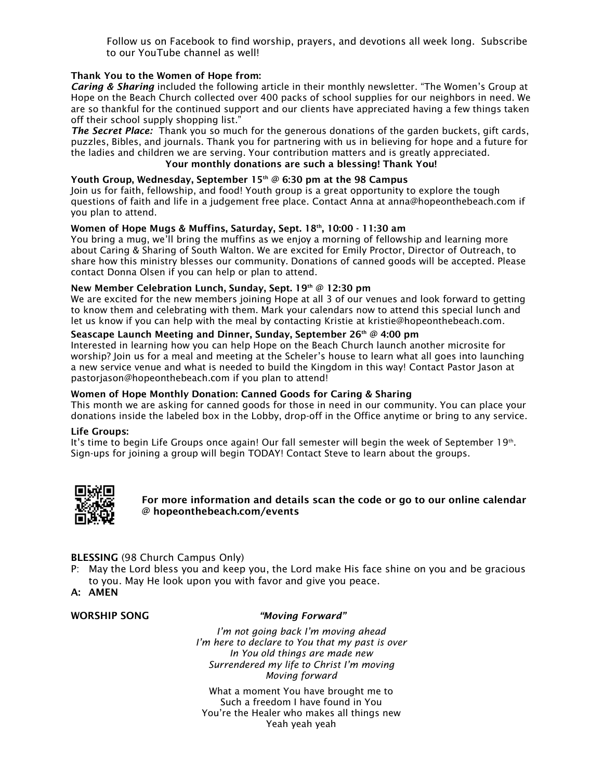Follow us on Facebook to find worship, prayers, and devotions all week long. Subscribe to our YouTube channel as well!

## Thank You to the Women of Hope from:

*Caring & Sharing* included the following article in their monthly newsletter. "The Women's Group at Hope on the Beach Church collected over 400 packs of school supplies for our neighbors in need. We are so thankful for the continued support and our clients have appreciated having a few things taken off their school supply shopping list."

*The Secret Place:* Thank you so much for the generous donations of the garden buckets, gift cards, puzzles, Bibles, and journals. Thank you for partnering with us in believing for hope and a future for the ladies and children we are serving. Your contribution matters and is greatly appreciated. Your monthly donations are such a blessing! Thank You!

# Youth Group, Wednesday, September  $15<sup>th</sup>$  @ 6:30 pm at the 98 Campus

Join us for faith, fellowship, and food! Youth group is a great opportunity to explore the tough questions of faith and life in a judgement free place. Contact Anna at anna@hopeonthebeach.com if you plan to attend.

## Women of Hope Mugs & Muffins, Saturday, Sept. 18th, 10:00 - 11:30 am

You bring a mug, we'll bring the muffins as we enjoy a morning of fellowship and learning more about Caring & Sharing of South Walton. We are excited for Emily Proctor, Director of Outreach, to share how this ministry blesses our community. Donations of canned goods will be accepted. Please contact Donna Olsen if you can help or plan to attend.

## New Member Celebration Lunch, Sunday, Sept. 19th @ 12:30 pm

We are excited for the new members joining Hope at all 3 of our venues and look forward to getting to know them and celebrating with them. Mark your calendars now to attend this special lunch and let us know if you can help with the meal by contacting Kristie at kristie@hopeonthebeach.com.

## Seascape Launch Meeting and Dinner, Sunday, September 26<sup>th</sup>  $\emptyset$  4:00 pm

Interested in learning how you can help Hope on the Beach Church launch another microsite for worship? Join us for a meal and meeting at the Scheler's house to learn what all goes into launching a new service venue and what is needed to build the Kingdom in this way! Contact Pastor Jason at [pastorjason@hopeonthebeach.com](mailto:pastorjason@hopeonthebeach.com) if you plan to attend!

## Women of Hope Monthly Donation: Canned Goods for Caring & Sharing

This month we are asking for canned goods for those in need in our community. You can place your donations inside the labeled box in the Lobby, drop-off in the Office anytime or bring to any service.

## Life Groups:

It's time to begin Life Groups once again! Our fall semester will begin the week of September 19th. Sign-ups for joining a group will begin TODAY! Contact Steve to learn about the groups.



## For more information and details scan the code or go to our online calendar @ hopeonthebeach.com/events

## BLESSING (98 Church Campus Only)

- P: May the Lord bless you and keep you, the Lord make His face shine on you and be gracious to you. May He look upon you with favor and give you peace.
- A: AMEN

## WORSHIP SONG *"Moving Forward"*

*I'm not going back I'm moving ahead I'm here to declare to You that my past is over In You old things are made new Surrendered my life to Christ I'm moving Moving forward*

What a moment You have brought me to Such a freedom I have found in You You're the Healer who makes all things new Yeah yeah yeah